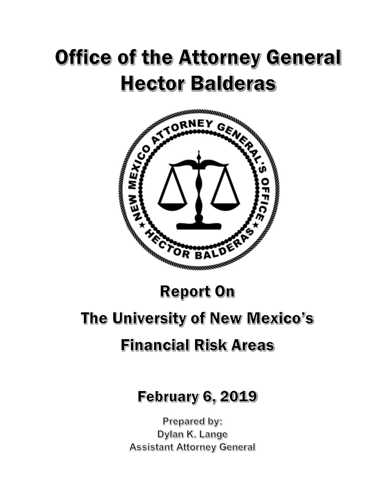# **Office of the Attorney General Hector Balderas**



### **Report On**

## The University of New Mexico's **Financial Risk Areas**

# **February 6, 2019**

Prepared by: Dylan K. Lange **Assistant Attorney General**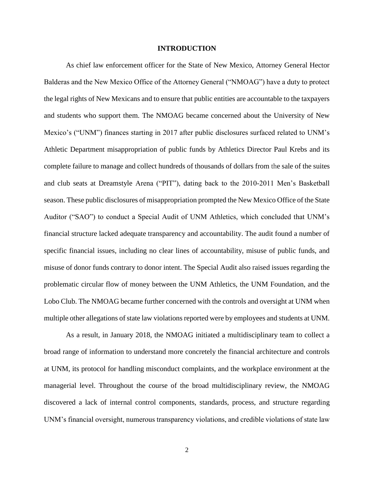#### **INTRODUCTION**

As chief law enforcement officer for the State of New Mexico, Attorney General Hector Balderas and the New Mexico Office of the Attorney General ("NMOAG") have a duty to protect the legal rights of New Mexicans and to ensure that public entities are accountable to the taxpayers and students who support them. The NMOAG became concerned about the University of New Mexico's ("UNM") finances starting in 2017 after public disclosures surfaced related to UNM's Athletic Department misappropriation of public funds by Athletics Director Paul Krebs and its complete failure to manage and collect hundreds of thousands of dollars from the sale of the suites and club seats at Dreamstyle Arena ("PIT"), dating back to the 2010-2011 Men's Basketball season. These public disclosures of misappropriation prompted the New Mexico Office of the State Auditor ("SAO") to conduct a Special Audit of UNM Athletics, which concluded that UNM's financial structure lacked adequate transparency and accountability. The audit found a number of specific financial issues, including no clear lines of accountability, misuse of public funds, and misuse of donor funds contrary to donor intent. The Special Audit also raised issues regarding the problematic circular flow of money between the UNM Athletics, the UNM Foundation, and the Lobo Club. The NMOAG became further concerned with the controls and oversight at UNM when multiple other allegations of state law violations reported were by employees and students at UNM.

As a result, in January 2018, the NMOAG initiated a multidisciplinary team to collect a broad range of information to understand more concretely the financial architecture and controls at UNM, its protocol for handling misconduct complaints, and the workplace environment at the managerial level. Throughout the course of the broad multidisciplinary review, the NMOAG discovered a lack of internal control components, standards, process, and structure regarding UNM's financial oversight, numerous transparency violations, and credible violations of state law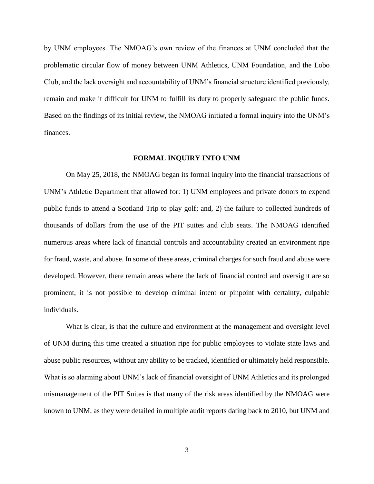by UNM employees. The NMOAG's own review of the finances at UNM concluded that the problematic circular flow of money between UNM Athletics, UNM Foundation, and the Lobo Club, and the lack oversight and accountability of UNM's financial structure identified previously, remain and make it difficult for UNM to fulfill its duty to properly safeguard the public funds. Based on the findings of its initial review, the NMOAG initiated a formal inquiry into the UNM's finances.

#### **FORMAL INQUIRY INTO UNM**

On May 25, 2018, the NMOAG began its formal inquiry into the financial transactions of UNM's Athletic Department that allowed for: 1) UNM employees and private donors to expend public funds to attend a Scotland Trip to play golf; and, 2) the failure to collected hundreds of thousands of dollars from the use of the PIT suites and club seats. The NMOAG identified numerous areas where lack of financial controls and accountability created an environment ripe for fraud, waste, and abuse. In some of these areas, criminal charges for such fraud and abuse were developed. However, there remain areas where the lack of financial control and oversight are so prominent, it is not possible to develop criminal intent or pinpoint with certainty, culpable individuals.

What is clear, is that the culture and environment at the management and oversight level of UNM during this time created a situation ripe for public employees to violate state laws and abuse public resources, without any ability to be tracked, identified or ultimately held responsible. What is so alarming about UNM's lack of financial oversight of UNM Athletics and its prolonged mismanagement of the PIT Suites is that many of the risk areas identified by the NMOAG were known to UNM, as they were detailed in multiple audit reports dating back to 2010, but UNM and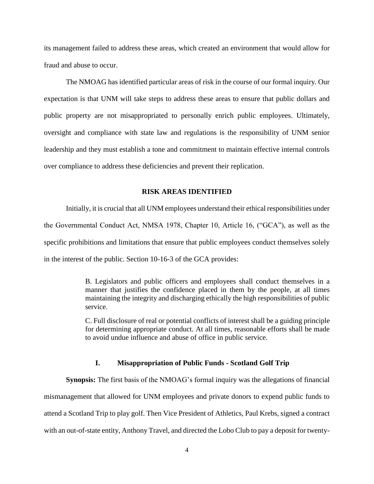its management failed to address these areas, which created an environment that would allow for fraud and abuse to occur.

The NMOAG has identified particular areas of risk in the course of our formal inquiry. Our expectation is that UNM will take steps to address these areas to ensure that public dollars and public property are not misappropriated to personally enrich public employees. Ultimately, oversight and compliance with state law and regulations is the responsibility of UNM senior leadership and they must establish a tone and commitment to maintain effective internal controls over compliance to address these deficiencies and prevent their replication.

#### **RISK AREAS IDENTIFIED**

Initially, it is crucial that all UNM employees understand their ethical responsibilities under the Governmental Conduct Act, NMSA 1978, Chapter 10, Article 16, ("GCA"), as well as the specific prohibitions and limitations that ensure that public employees conduct themselves solely in the interest of the public. Section 10-16-3 of the GCA provides:

> B. Legislators and public officers and employees shall conduct themselves in a manner that justifies the confidence placed in them by the people, at all times maintaining the integrity and discharging ethically the high responsibilities of public service.

> C. Full disclosure of real or potential conflicts of interest shall be a guiding principle for determining appropriate conduct. At all times, reasonable efforts shall be made to avoid undue influence and abuse of office in public service.

#### **I. Misappropriation of Public Funds - Scotland Golf Trip**

**Synopsis:** The first basis of the NMOAG's formal inquiry was the allegations of financial mismanagement that allowed for UNM employees and private donors to expend public funds to attend a Scotland Trip to play golf. Then Vice President of Athletics, Paul Krebs, signed a contract with an out-of-state entity, Anthony Travel, and directed the Lobo Club to pay a deposit for twenty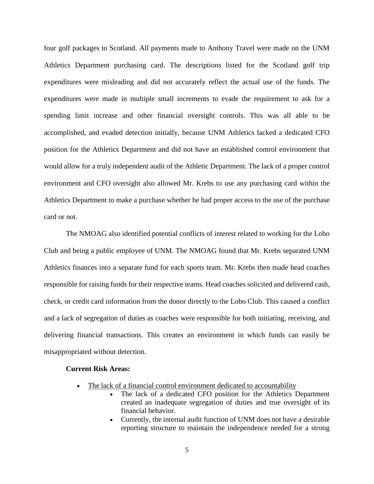four golf packages to Scotland. All payments made to Anthony Travel were made on the UNM Athletics Department purchasing card. The descriptions listed for the Scotland golf trip expenditures were misleading and did not accurately reflect the actual use of the funds. The expenditures were made in multiple small increments to evade the requirement to ask for a spending limit increase and other financial oversight controls. This was all able to be accomplished, and evaded detection initially, because UNM Athletics lacked a dedicated CFO position for the Athletics Department and did not have an established control environment that would allow for a truly independent audit of the Athletic Department. The lack of a proper control environment and CFO oversight also allowed Mr. Krebs to use any purchasing card within the Athletics Department to make a purchase whether he had proper access to the use of the purchase card or not.

The NMOAG also identified potential conflicts of interest related to working for the Lobo Club and being a public employee of UNM. The NMOAG found that Mr. Krebs separated UNM Athletics finances into a separate fund for each sports team. Mr. Krebs then made head coaches responsible for raising funds for their respective teams. Head coaches solicited and delivered cash, check, or credit card information from the donor directly to the Lobo Club. This caused a conflict and a lack of segregation of duties as coaches were responsible for both initiating, receiving, and delivering financial transactions. This creates an environment in which funds can easily be misappropriated without detection.

#### **Current Risk Areas:**

- The lack of a financial control environment dedicated to accountability
	- The lack of a dedicated CFO position for the Athletics Department created an inadequate segregation of duties and true oversight of its financial behavior.
	- Currently, the internal audit function of UNM does not have a desirable reporting structure to maintain the independence needed for a strong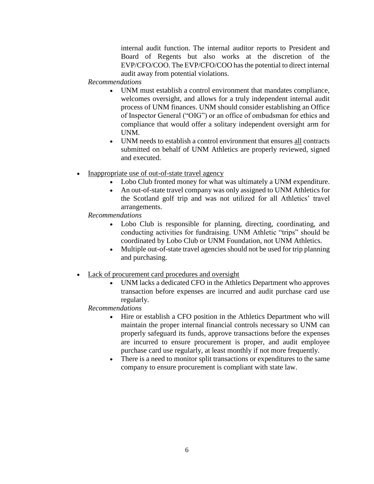internal audit function. The internal auditor reports to President and Board of Regents but also works at the discretion of the EVP/CFO/COO. The EVP/CFO/COO has the potential to direct internal audit away from potential violations.

#### *Recommendations*

- UNM must establish a control environment that mandates compliance, welcomes oversight, and allows for a truly independent internal audit process of UNM finances. UNM should consider establishing an Office of Inspector General ("OIG") or an office of ombudsman for ethics and compliance that would offer a solitary independent oversight arm for UNM.
- UNM needs to establish a control environment that ensures all contracts submitted on behalf of UNM Athletics are properly reviewed, signed and executed.
- Inappropriate use of out-of-state travel agency
	- Lobo Club fronted money for what was ultimately a UNM expenditure.
	- An out-of-state travel company was only assigned to UNM Athletics for the Scotland golf trip and was not utilized for all Athletics' travel arrangements.
	- *Recommendations*
		- Lobo Club is responsible for planning, directing, coordinating, and conducting activities for fundraising. UNM Athletic "trips" should be coordinated by Lobo Club or UNM Foundation, not UNM Athletics.
		- Multiple out-of-state travel agencies should not be used for trip planning and purchasing.
- Lack of procurement card procedures and oversight
	- UNM lacks a dedicated CFO in the Athletics Department who approves transaction before expenses are incurred and audit purchase card use regularly.

#### *Recommendations*

- Hire or establish a CFO position in the Athletics Department who will maintain the proper internal financial controls necessary so UNM can properly safeguard its funds, approve transactions before the expenses are incurred to ensure procurement is proper, and audit employee purchase card use regularly, at least monthly if not more frequently.
- There is a need to monitor split transactions or expenditures to the same company to ensure procurement is compliant with state law.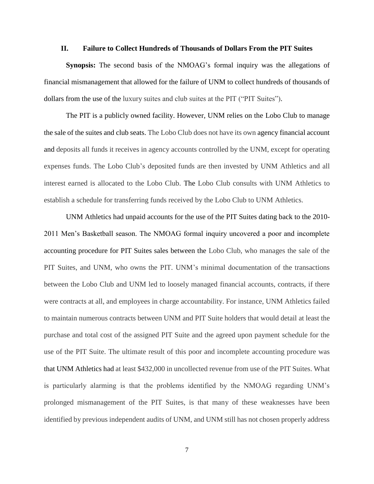#### **II. Failure to Collect Hundreds of Thousands of Dollars From the PIT Suites**

**Synopsis:** The second basis of the NMOAG's formal inquiry was the allegations of financial mismanagement that allowed for the failure of UNM to collect hundreds of thousands of dollars from the use of the luxury suites and club suites at the PIT ("PIT Suites").

The PIT is a publicly owned facility. However, UNM relies on the Lobo Club to manage the sale of the suites and club seats. The Lobo Club does not have its own agency financial account and deposits all funds it receives in agency accounts controlled by the UNM, except for operating expenses funds. The Lobo Club's deposited funds are then invested by UNM Athletics and all interest earned is allocated to the Lobo Club. The Lobo Club consults with UNM Athletics to establish a schedule for transferring funds received by the Lobo Club to UNM Athletics.

UNM Athletics had unpaid accounts for the use of the PIT Suites dating back to the 2010- 2011 Men's Basketball season. The NMOAG formal inquiry uncovered a poor and incomplete accounting procedure for PIT Suites sales between the Lobo Club, who manages the sale of the PIT Suites, and UNM, who owns the PIT. UNM's minimal documentation of the transactions between the Lobo Club and UNM led to loosely managed financial accounts, contracts, if there were contracts at all, and employees in charge accountability. For instance, UNM Athletics failed to maintain numerous contracts between UNM and PIT Suite holders that would detail at least the purchase and total cost of the assigned PIT Suite and the agreed upon payment schedule for the use of the PIT Suite. The ultimate result of this poor and incomplete accounting procedure was that UNM Athletics had at least \$432,000 in uncollected revenue from use of the PIT Suites. What is particularly alarming is that the problems identified by the NMOAG regarding UNM's prolonged mismanagement of the PIT Suites, is that many of these weaknesses have been identified by previous independent audits of UNM, and UNM still has not chosen properly address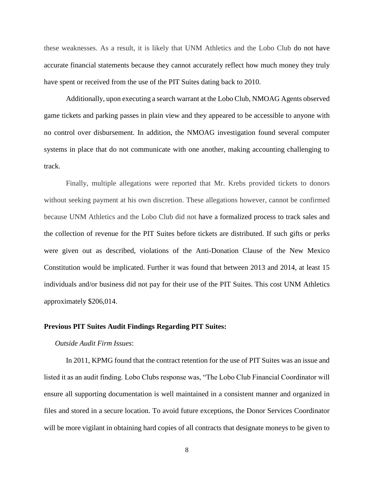these weaknesses. As a result, it is likely that UNM Athletics and the Lobo Club do not have accurate financial statements because they cannot accurately reflect how much money they truly have spent or received from the use of the PIT Suites dating back to 2010.

Additionally, upon executing a search warrant at the Lobo Club, NMOAG Agents observed game tickets and parking passes in plain view and they appeared to be accessible to anyone with no control over disbursement. In addition, the NMOAG investigation found several computer systems in place that do not communicate with one another, making accounting challenging to track.

Finally, multiple allegations were reported that Mr. Krebs provided tickets to donors without seeking payment at his own discretion. These allegations however, cannot be confirmed because UNM Athletics and the Lobo Club did not have a formalized process to track sales and the collection of revenue for the PIT Suites before tickets are distributed. If such gifts or perks were given out as described, violations of the Anti-Donation Clause of the New Mexico Constitution would be implicated. Further it was found that between 2013 and 2014, at least 15 individuals and/or business did not pay for their use of the PIT Suites. This cost UNM Athletics approximately \$206,014.

#### **Previous PIT Suites Audit Findings Regarding PIT Suites:**

#### *Outside Audit Firm Issues*:

In 2011, KPMG found that the contract retention for the use of PIT Suites was an issue and listed it as an audit finding. Lobo Clubs response was, "The Lobo Club Financial Coordinator will ensure all supporting documentation is well maintained in a consistent manner and organized in files and stored in a secure location. To avoid future exceptions, the Donor Services Coordinator will be more vigilant in obtaining hard copies of all contracts that designate moneys to be given to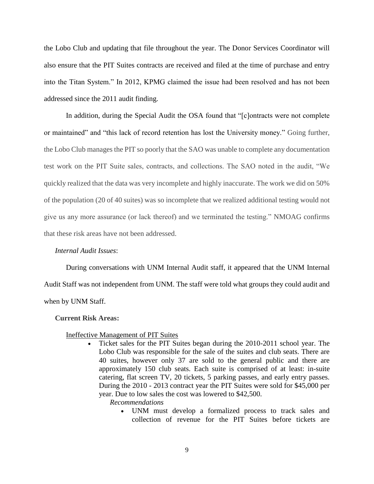the Lobo Club and updating that file throughout the year. The Donor Services Coordinator will also ensure that the PIT Suites contracts are received and filed at the time of purchase and entry into the Titan System." In 2012, KPMG claimed the issue had been resolved and has not been addressed since the 2011 audit finding.

In addition, during the Special Audit the OSA found that "[c]ontracts were not complete or maintained" and "this lack of record retention has lost the University money." Going further, the Lobo Club manages the PIT so poorly that the SAO was unable to complete any documentation test work on the PIT Suite sales, contracts, and collections. The SAO noted in the audit, "We quickly realized that the data was very incomplete and highly inaccurate. The work we did on 50% of the population (20 of 40 suites) was so incomplete that we realized additional testing would not give us any more assurance (or lack thereof) and we terminated the testing." NMOAG confirms that these risk areas have not been addressed.

#### *Internal Audit Issues*:

During conversations with UNM Internal Audit staff, it appeared that the UNM Internal Audit Staff was not independent from UNM. The staff were told what groups they could audit and when by UNM Staff.

#### **Current Risk Areas:**

#### Ineffective Management of PIT Suites

- Ticket sales for the PIT Suites began during the 2010-2011 school year. The Lobo Club was responsible for the sale of the suites and club seats. There are 40 suites, however only 37 are sold to the general public and there are approximately 150 club seats. Each suite is comprised of at least: in-suite catering, flat screen TV, 20 tickets, 5 parking passes, and early entry passes. During the 2010 - 2013 contract year the PIT Suites were sold for \$45,000 per year. Due to low sales the cost was lowered to \$42,500.
	- *Recommendations*
		- UNM must develop a formalized process to track sales and collection of revenue for the PIT Suites before tickets are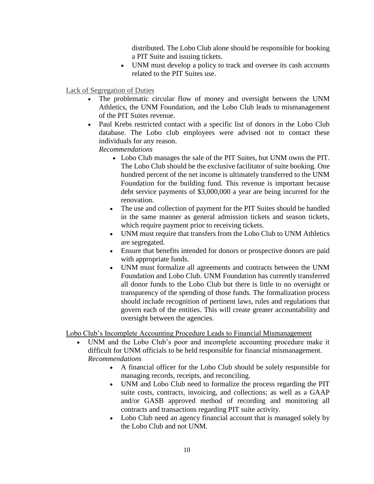distributed. The Lobo Club alone should be responsible for booking a PIT Suite and issuing tickets.

 UNM must develop a policy to track and oversee its cash accounts related to the PIT Suites use.

Lack of Segregation of Duties

- The problematic circular flow of money and oversight between the UNM Athletics, the UNM Foundation, and the Lobo Club leads to mismanagement of the PIT Suites revenue.
- Paul Krebs restricted contact with a specific list of donors in the Lobo Club database. The Lobo club employees were advised not to contact these individuals for any reason.

*Recommendations*

- Lobo Club manages the sale of the PIT Suites, but UNM owns the PIT. The Lobo Club should be the exclusive facilitator of suite booking. One hundred percent of the net income is ultimately transferred to the UNM Foundation for the building fund. This revenue is important because debt service payments of \$3,000,000 a year are being incurred for the renovation.
- The use and collection of payment for the PIT Suites should be handled in the same manner as general admission tickets and season tickets, which require payment prior to receiving tickets.
- UNM must require that transfers from the Lobo Club to UNM Athletics are segregated.
- Ensure that benefits intended for donors or prospective donors are paid with appropriate funds.
- UNM must formalize all agreements and contracts between the UNM Foundation and Lobo Club. UNM Foundation has currently transferred all donor funds to the Lobo Club but there is little to no oversight or transparency of the spending of those funds. The formalization process should include recognition of pertinent laws, rules and regulations that govern each of the entities. This will create greater accountability and oversight between the agencies.

Lobo Club's Incomplete Accounting Procedure Leads to Financial Mismanagement

- UNM and the Lobo Club's poor and incomplete accounting procedure make it difficult for UNM officials to be held responsible for financial mismanagement. *Recommendations*
	- A financial officer for the Lobo Club should be solely responsible for managing records, receipts, and reconciling.
	- UNM and Lobo Club need to formalize the process regarding the PIT suite costs, contracts, invoicing, and collections; as well as a GAAP and/or GASB approved method of recording and monitoring all contracts and transactions regarding PIT suite activity.
	- Lobo Club need an agency financial account that is managed solely by the Lobo Club and not UNM.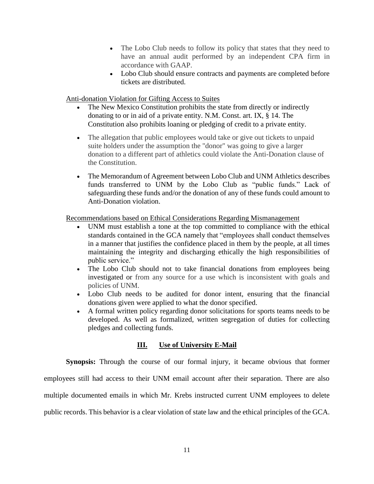- The Lobo Club needs to follow its policy that states that they need to have an annual audit performed by an independent CPA firm in accordance with GAAP.
- Lobo Club should ensure contracts and payments are completed before tickets are distributed.

#### Anti-donation Violation for Gifting Access to Suites

- The New Mexico Constitution prohibits the state from directly or indirectly donating to or in aid of a private entity. N.M. Const. art. IX, § 14. The Constitution also prohibits loaning or pledging of credit to a private entity.
- The allegation that public employees would take or give out tickets to unpaid suite holders under the assumption the "donor" was going to give a larger donation to a different part of athletics could violate the Anti-Donation clause of the Constitution.
- The Memorandum of Agreement between Lobo Club and UNM Athletics describes funds transferred to UNM by the Lobo Club as "public funds." Lack of safeguarding these funds and/or the donation of any of these funds could amount to Anti-Donation violation.

#### Recommendations based on Ethical Considerations Regarding Mismanagement

- UNM must establish a tone at the top committed to compliance with the ethical standards contained in the GCA namely that "employees shall conduct themselves in a manner that justifies the confidence placed in them by the people, at all times maintaining the integrity and discharging ethically the high responsibilities of public service."
- The Lobo Club should not to take financial donations from employees being investigated or from any source for a use which is inconsistent with goals and policies of UNM.
- Lobo Club needs to be audited for donor intent, ensuring that the financial donations given were applied to what the donor specified.
- A formal written policy regarding donor solicitations for sports teams needs to be developed. As well as formalized, written segregation of duties for collecting pledges and collecting funds.

#### **III. Use of University E-Mail**

**Synopsis:** Through the course of our formal injury, it became obvious that former

employees still had access to their UNM email account after their separation. There are also

multiple documented emails in which Mr. Krebs instructed current UNM employees to delete

public records. This behavior is a clear violation of state law and the ethical principles of the GCA.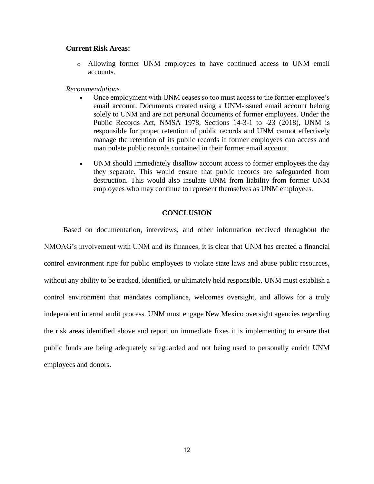#### **Current Risk Areas:**

o Allowing former UNM employees to have continued access to UNM email accounts.

#### *Recommendations*

- Once employment with UNM ceases so too must access to the former employee's email account. Documents created using a UNM-issued email account belong solely to UNM and are not personal documents of former employees. Under the Public Records Act, NMSA 1978, Sections 14-3-1 to -23 (2018), UNM is responsible for proper retention of public records and UNM cannot effectively manage the retention of its public records if former employees can access and manipulate public records contained in their former email account.
- UNM should immediately disallow account access to former employees the day they separate. This would ensure that public records are safeguarded from destruction. This would also insulate UNM from liability from former UNM employees who may continue to represent themselves as UNM employees.

#### **CONCLUSION**

Based on documentation, interviews, and other information received throughout the NMOAG's involvement with UNM and its finances, it is clear that UNM has created a financial control environment ripe for public employees to violate state laws and abuse public resources, without any ability to be tracked, identified, or ultimately held responsible. UNM must establish a control environment that mandates compliance, welcomes oversight, and allows for a truly independent internal audit process. UNM must engage New Mexico oversight agencies regarding the risk areas identified above and report on immediate fixes it is implementing to ensure that public funds are being adequately safeguarded and not being used to personally enrich UNM employees and donors.